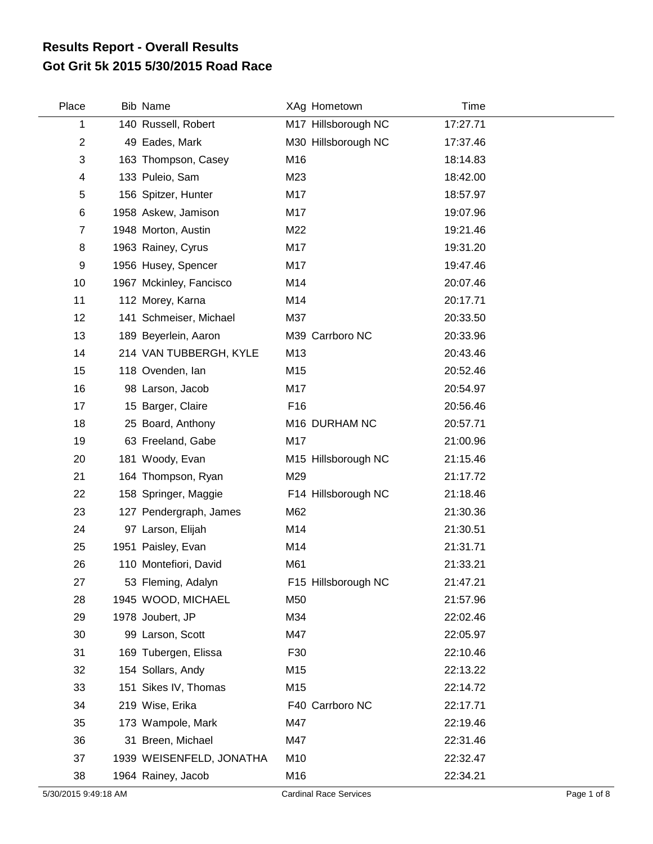## **Got Grit 5k 2015 5/30/2015 Road Race Results Report - Overall Results**

| Place          | Bib Name                 |                 | XAg Hometown        | Time     |  |
|----------------|--------------------------|-----------------|---------------------|----------|--|
| 1              | 140 Russell, Robert      |                 | M17 Hillsborough NC | 17:27.71 |  |
| $\overline{2}$ | 49 Eades, Mark           |                 | M30 Hillsborough NC | 17:37.46 |  |
| 3              | 163 Thompson, Casey      | M16             |                     | 18:14.83 |  |
| 4              | 133 Puleio, Sam          | M23             |                     | 18:42.00 |  |
| 5              | 156 Spitzer, Hunter      | M17             |                     | 18:57.97 |  |
| 6              | 1958 Askew, Jamison      | M17             |                     | 19:07.96 |  |
| $\overline{7}$ | 1948 Morton, Austin      | M22             |                     | 19:21.46 |  |
| 8              | 1963 Rainey, Cyrus       | M17             |                     | 19:31.20 |  |
| 9              | 1956 Husey, Spencer      | M17             |                     | 19:47.46 |  |
| 10             | 1967 Mckinley, Fancisco  | M14             |                     | 20:07.46 |  |
| 11             | 112 Morey, Karna         | M14             |                     | 20:17.71 |  |
| 12             | 141 Schmeiser, Michael   | M37             |                     | 20:33.50 |  |
| 13             | 189 Beyerlein, Aaron     |                 | M39 Carrboro NC     | 20:33.96 |  |
| 14             | 214 VAN TUBBERGH, KYLE   | M13             |                     | 20:43.46 |  |
| 15             | 118 Ovenden, Ian         | M15             |                     | 20:52.46 |  |
| 16             | 98 Larson, Jacob         | M17             |                     | 20:54.97 |  |
| 17             | 15 Barger, Claire        | F <sub>16</sub> |                     | 20:56.46 |  |
| 18             | 25 Board, Anthony        |                 | M16 DURHAM NC       | 20:57.71 |  |
| 19             | 63 Freeland, Gabe        | M17             |                     | 21:00.96 |  |
| 20             | 181 Woody, Evan          |                 | M15 Hillsborough NC | 21:15.46 |  |
| 21             | 164 Thompson, Ryan       | M29             |                     | 21:17.72 |  |
| 22             | 158 Springer, Maggie     |                 | F14 Hillsborough NC | 21:18.46 |  |
| 23             | 127 Pendergraph, James   | M62             |                     | 21:30.36 |  |
| 24             | 97 Larson, Elijah        | M14             |                     | 21:30.51 |  |
| 25             | 1951 Paisley, Evan       | M14             |                     | 21:31.71 |  |
| 26             | 110 Montefiori, David    | M61             |                     | 21:33.21 |  |
| 27             | 53 Fleming, Adalyn       |                 | F15 Hillsborough NC | 21:47.21 |  |
| 28             | 1945 WOOD, MICHAEL       | M50             |                     | 21:57.96 |  |
| 29             | 1978 Joubert, JP         | M34             |                     | 22:02.46 |  |
| 30             | 99 Larson, Scott         | M47             |                     | 22:05.97 |  |
| 31             | 169 Tubergen, Elissa     | F30             |                     | 22:10.46 |  |
| 32             | 154 Sollars, Andy        | M15             |                     | 22:13.22 |  |
| 33             | 151 Sikes IV, Thomas     | M15             |                     | 22:14.72 |  |
| 34             | 219 Wise, Erika          |                 | F40 Carrboro NC     | 22:17.71 |  |
| 35             | 173 Wampole, Mark        | M47             |                     | 22:19.46 |  |
| 36             | 31 Breen, Michael        | M47             |                     | 22:31.46 |  |
| 37             | 1939 WEISENFELD, JONATHA | M10             |                     | 22:32.47 |  |
| 38             | 1964 Rainey, Jacob       | M16             |                     | 22:34.21 |  |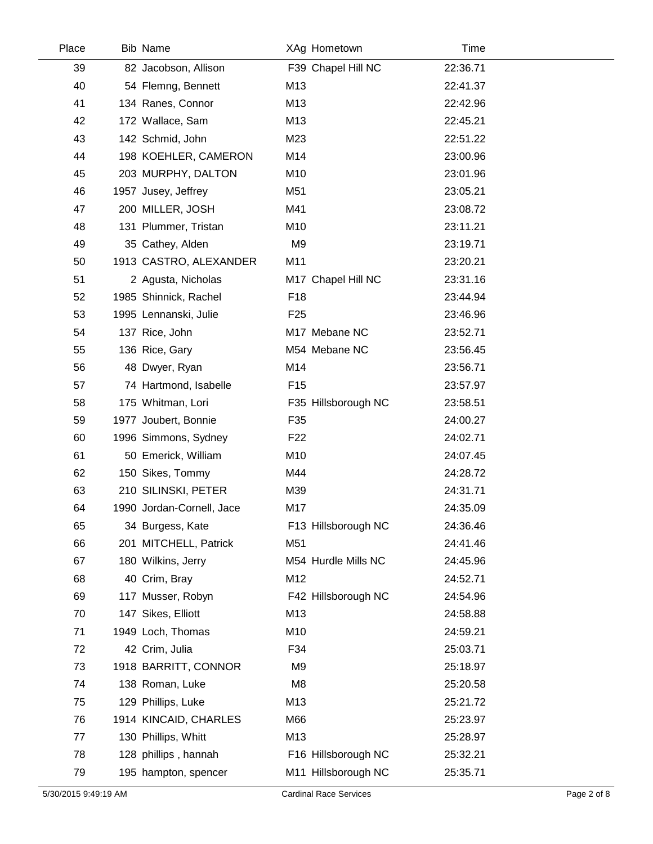| Place | <b>Bib Name</b>           |                 | XAg Hometown        | Time     |  |
|-------|---------------------------|-----------------|---------------------|----------|--|
| 39    | 82 Jacobson, Allison      |                 | F39 Chapel Hill NC  | 22:36.71 |  |
| 40    | 54 Flemng, Bennett        | M13             |                     | 22:41.37 |  |
| 41    | 134 Ranes, Connor         | M13             |                     | 22:42.96 |  |
| 42    | 172 Wallace, Sam          | M13             |                     | 22:45.21 |  |
| 43    | 142 Schmid, John          | M23             |                     | 22:51.22 |  |
| 44    | 198 KOEHLER, CAMERON      | M14             |                     | 23:00.96 |  |
| 45    | 203 MURPHY, DALTON        | M10             |                     | 23:01.96 |  |
| 46    | 1957 Jusey, Jeffrey       | M51             |                     | 23:05.21 |  |
| 47    | 200 MILLER, JOSH          | M41             |                     | 23:08.72 |  |
| 48    | 131 Plummer, Tristan      | M10             |                     | 23:11.21 |  |
| 49    | 35 Cathey, Alden          | M <sub>9</sub>  |                     | 23:19.71 |  |
| 50    | 1913 CASTRO, ALEXANDER    | M11             |                     | 23:20.21 |  |
| 51    | 2 Agusta, Nicholas        |                 | M17 Chapel Hill NC  | 23:31.16 |  |
| 52    | 1985 Shinnick, Rachel     | F <sub>18</sub> |                     | 23:44.94 |  |
| 53    | 1995 Lennanski, Julie     | F <sub>25</sub> |                     | 23:46.96 |  |
| 54    | 137 Rice, John            |                 | M17 Mebane NC       | 23:52.71 |  |
| 55    | 136 Rice, Gary            |                 | M54 Mebane NC       | 23:56.45 |  |
| 56    | 48 Dwyer, Ryan            | M14             |                     | 23:56.71 |  |
| 57    | 74 Hartmond, Isabelle     | F <sub>15</sub> |                     | 23:57.97 |  |
| 58    | 175 Whitman, Lori         |                 | F35 Hillsborough NC | 23:58.51 |  |
| 59    | 1977 Joubert, Bonnie      | F35             |                     | 24:00.27 |  |
| 60    | 1996 Simmons, Sydney      | F <sub>22</sub> |                     | 24:02.71 |  |
| 61    | 50 Emerick, William       | M10             |                     | 24:07.45 |  |
| 62    | 150 Sikes, Tommy          | M44             |                     | 24:28.72 |  |
| 63    | 210 SILINSKI, PETER       | M39             |                     | 24:31.71 |  |
| 64    | 1990 Jordan-Cornell, Jace | M17             |                     | 24:35.09 |  |
| 65    | 34 Burgess, Kate          |                 | F13 Hillsborough NC | 24:36.46 |  |
| 66    | 201 MITCHELL, Patrick     | M51             |                     | 24:41.46 |  |
| 67    | 180 Wilkins, Jerry        |                 | M54 Hurdle Mills NC | 24:45.96 |  |
| 68    | 40 Crim, Bray             | M12             |                     | 24:52.71 |  |
| 69    | 117 Musser, Robyn         |                 | F42 Hillsborough NC | 24:54.96 |  |
| 70    | 147 Sikes, Elliott        | M13             |                     | 24:58.88 |  |
| 71    | 1949 Loch, Thomas         | M10             |                     | 24:59.21 |  |
| 72    | 42 Crim, Julia            | F34             |                     | 25:03.71 |  |
| 73    | 1918 BARRITT, CONNOR      | M <sub>9</sub>  |                     | 25:18.97 |  |
| 74    | 138 Roman, Luke           | M <sub>8</sub>  |                     | 25:20.58 |  |
| 75    | 129 Phillips, Luke        | M13             |                     | 25:21.72 |  |
| 76    | 1914 KINCAID, CHARLES     | M66             |                     | 25:23.97 |  |
| 77    | 130 Phillips, Whitt       | M13             |                     | 25:28.97 |  |
| 78    | 128 phillips, hannah      |                 | F16 Hillsborough NC | 25:32.21 |  |
| 79    | 195 hampton, spencer      |                 | M11 Hillsborough NC | 25:35.71 |  |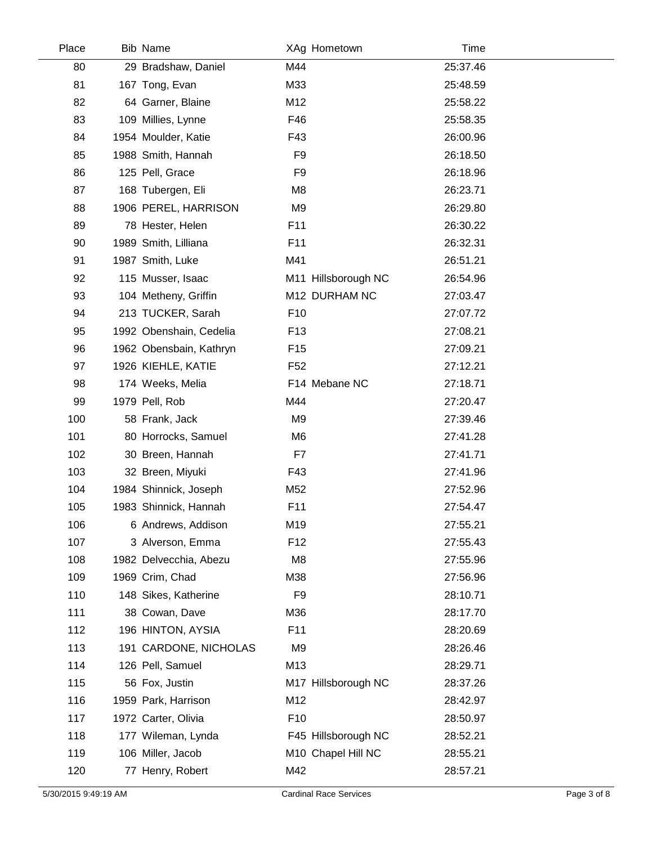| Place | <b>Bib Name</b>         |                 | XAg Hometown        | Time     |  |
|-------|-------------------------|-----------------|---------------------|----------|--|
| 80    | 29 Bradshaw, Daniel     | M44             |                     | 25:37.46 |  |
| 81    | 167 Tong, Evan          | M33             |                     | 25:48.59 |  |
| 82    | 64 Garner, Blaine       | M12             |                     | 25:58.22 |  |
| 83    | 109 Millies, Lynne      | F46             |                     | 25:58.35 |  |
| 84    | 1954 Moulder, Katie     | F43             |                     | 26:00.96 |  |
| 85    | 1988 Smith, Hannah      | F <sub>9</sub>  |                     | 26:18.50 |  |
| 86    | 125 Pell, Grace         | F <sub>9</sub>  |                     | 26:18.96 |  |
| 87    | 168 Tubergen, Eli       | M <sub>8</sub>  |                     | 26:23.71 |  |
| 88    | 1906 PEREL, HARRISON    | M <sub>9</sub>  |                     | 26:29.80 |  |
| 89    | 78 Hester, Helen        | F11             |                     | 26:30.22 |  |
| 90    | 1989 Smith, Lilliana    | F11             |                     | 26:32.31 |  |
| 91    | 1987 Smith, Luke        | M41             |                     | 26:51.21 |  |
| 92    | 115 Musser, Isaac       |                 | M11 Hillsborough NC | 26:54.96 |  |
| 93    | 104 Metheny, Griffin    |                 | M12 DURHAM NC       | 27:03.47 |  |
| 94    | 213 TUCKER, Sarah       | F <sub>10</sub> |                     | 27:07.72 |  |
| 95    | 1992 Obenshain, Cedelia | F <sub>13</sub> |                     | 27:08.21 |  |
| 96    | 1962 Obensbain, Kathryn | F <sub>15</sub> |                     | 27:09.21 |  |
| 97    | 1926 KIEHLE, KATIE      | F <sub>52</sub> |                     | 27:12.21 |  |
| 98    | 174 Weeks, Melia        |                 | F14 Mebane NC       | 27:18.71 |  |
| 99    | 1979 Pell, Rob          | M44             |                     | 27:20.47 |  |
| 100   | 58 Frank, Jack          | M9              |                     | 27:39.46 |  |
| 101   | 80 Horrocks, Samuel     | M <sub>6</sub>  |                     | 27:41.28 |  |
| 102   | 30 Breen, Hannah        | F7              |                     | 27:41.71 |  |
| 103   | 32 Breen, Miyuki        | F43             |                     | 27:41.96 |  |
| 104   | 1984 Shinnick, Joseph   | M52             |                     | 27:52.96 |  |
| 105   | 1983 Shinnick, Hannah   | F11             |                     | 27:54.47 |  |
| 106   | 6 Andrews, Addison      | M19             |                     | 27:55.21 |  |
| 107   | 3 Alverson, Emma        | F <sub>12</sub> |                     | 27:55.43 |  |
| 108   | 1982 Delvecchia, Abezu  | M <sub>8</sub>  |                     | 27:55.96 |  |
| 109   | 1969 Crim, Chad         | M38             |                     | 27:56.96 |  |
| 110   | 148 Sikes, Katherine    | F <sub>9</sub>  |                     | 28:10.71 |  |
| 111   | 38 Cowan, Dave          | M36             |                     | 28:17.70 |  |
| 112   | 196 HINTON, AYSIA       | F11             |                     | 28:20.69 |  |
| 113   | 191 CARDONE, NICHOLAS   | M <sub>9</sub>  |                     | 28:26.46 |  |
| 114   | 126 Pell, Samuel        | M13             |                     | 28:29.71 |  |
| 115   | 56 Fox, Justin          |                 | M17 Hillsborough NC | 28:37.26 |  |
| 116   | 1959 Park, Harrison     | M12             |                     | 28:42.97 |  |
| 117   | 1972 Carter, Olivia     | F <sub>10</sub> |                     | 28:50.97 |  |
| 118   | 177 Wileman, Lynda      |                 | F45 Hillsborough NC | 28:52.21 |  |
| 119   | 106 Miller, Jacob       |                 | M10 Chapel Hill NC  | 28:55.21 |  |
| 120   | 77 Henry, Robert        | M42             |                     | 28:57.21 |  |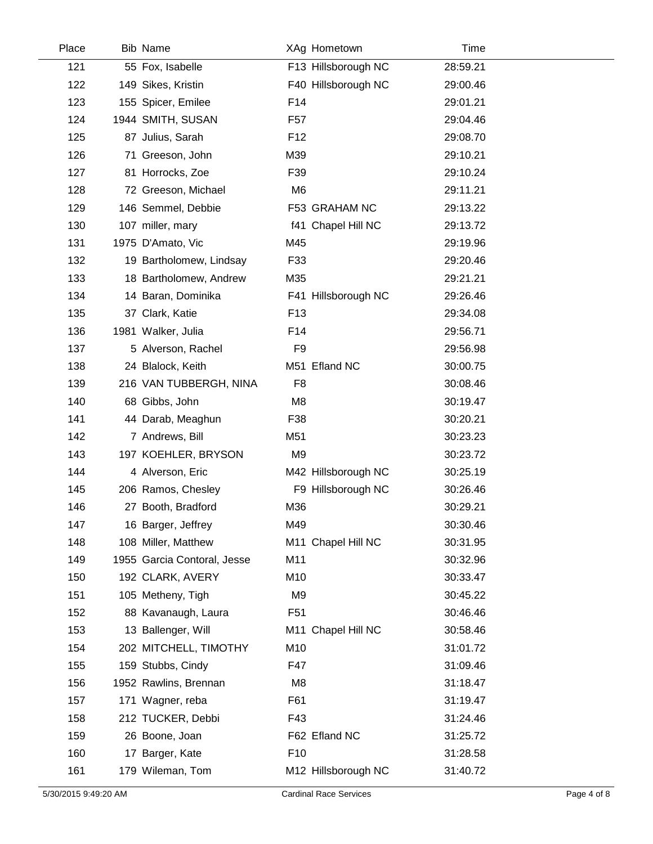| Place | <b>Bib Name</b>             |                 | XAg Hometown        | Time     |  |
|-------|-----------------------------|-----------------|---------------------|----------|--|
| 121   | 55 Fox, Isabelle            |                 | F13 Hillsborough NC | 28:59.21 |  |
| 122   | 149 Sikes, Kristin          |                 | F40 Hillsborough NC | 29:00.46 |  |
| 123   | 155 Spicer, Emilee          | F14             |                     | 29:01.21 |  |
| 124   | 1944 SMITH, SUSAN           | F <sub>57</sub> |                     | 29:04.46 |  |
| 125   | 87 Julius, Sarah            | F <sub>12</sub> |                     | 29:08.70 |  |
| 126   | 71 Greeson, John            | M39             |                     | 29:10.21 |  |
| 127   | 81 Horrocks, Zoe            | F39             |                     | 29:10.24 |  |
| 128   | 72 Greeson, Michael         | M <sub>6</sub>  |                     | 29:11.21 |  |
| 129   | 146 Semmel, Debbie          |                 | F53 GRAHAM NC       | 29:13.22 |  |
| 130   | 107 miller, mary            |                 | f41 Chapel Hill NC  | 29:13.72 |  |
| 131   | 1975 D'Amato, Vic           | M45             |                     | 29:19.96 |  |
| 132   | 19 Bartholomew, Lindsay     | F33             |                     | 29:20.46 |  |
| 133   | 18 Bartholomew, Andrew      | M35             |                     | 29:21.21 |  |
| 134   | 14 Baran, Dominika          |                 | F41 Hillsborough NC | 29:26.46 |  |
| 135   | 37 Clark, Katie             | F <sub>13</sub> |                     | 29:34.08 |  |
| 136   | 1981 Walker, Julia          | F14             |                     | 29:56.71 |  |
| 137   | 5 Alverson, Rachel          | F <sub>9</sub>  |                     | 29:56.98 |  |
| 138   | 24 Blalock, Keith           |                 | M51 Efland NC       | 30:00.75 |  |
| 139   | 216 VAN TUBBERGH, NINA      | F <sub>8</sub>  |                     | 30:08.46 |  |
| 140   | 68 Gibbs, John              | M <sub>8</sub>  |                     | 30:19.47 |  |
| 141   | 44 Darab, Meaghun           | F38             |                     | 30:20.21 |  |
| 142   | 7 Andrews, Bill             | M51             |                     | 30:23.23 |  |
| 143   | 197 KOEHLER, BRYSON         | M <sub>9</sub>  |                     | 30:23.72 |  |
| 144   | 4 Alverson, Eric            |                 | M42 Hillsborough NC | 30:25.19 |  |
| 145   | 206 Ramos, Chesley          |                 | F9 Hillsborough NC  | 30:26.46 |  |
| 146   | 27 Booth, Bradford          | M36             |                     | 30:29.21 |  |
| 147   | 16 Barger, Jeffrey          | M49             |                     | 30:30.46 |  |
| 148   | 108 Miller, Matthew         |                 | M11 Chapel Hill NC  | 30:31.95 |  |
| 149   | 1955 Garcia Contoral, Jesse | M11             |                     | 30:32.96 |  |
| 150   | 192 CLARK, AVERY            | M10             |                     | 30:33.47 |  |
| 151   | 105 Metheny, Tigh           | M9              |                     | 30:45.22 |  |
| 152   | 88 Kavanaugh, Laura         | F <sub>51</sub> |                     | 30:46.46 |  |
| 153   | 13 Ballenger, Will          |                 | M11 Chapel Hill NC  | 30:58.46 |  |
| 154   | 202 MITCHELL, TIMOTHY       | M10             |                     | 31:01.72 |  |
| 155   | 159 Stubbs, Cindy           | F47             |                     | 31:09.46 |  |
| 156   | 1952 Rawlins, Brennan       | M <sub>8</sub>  |                     | 31:18.47 |  |
| 157   | 171 Wagner, reba            | F61             |                     | 31:19.47 |  |
| 158   | 212 TUCKER, Debbi           | F43             |                     | 31:24.46 |  |
| 159   | 26 Boone, Joan              |                 | F62 Efland NC       | 31:25.72 |  |
| 160   | 17 Barger, Kate             | F <sub>10</sub> |                     | 31:28.58 |  |
| 161   | 179 Wileman, Tom            |                 | M12 Hillsborough NC | 31:40.72 |  |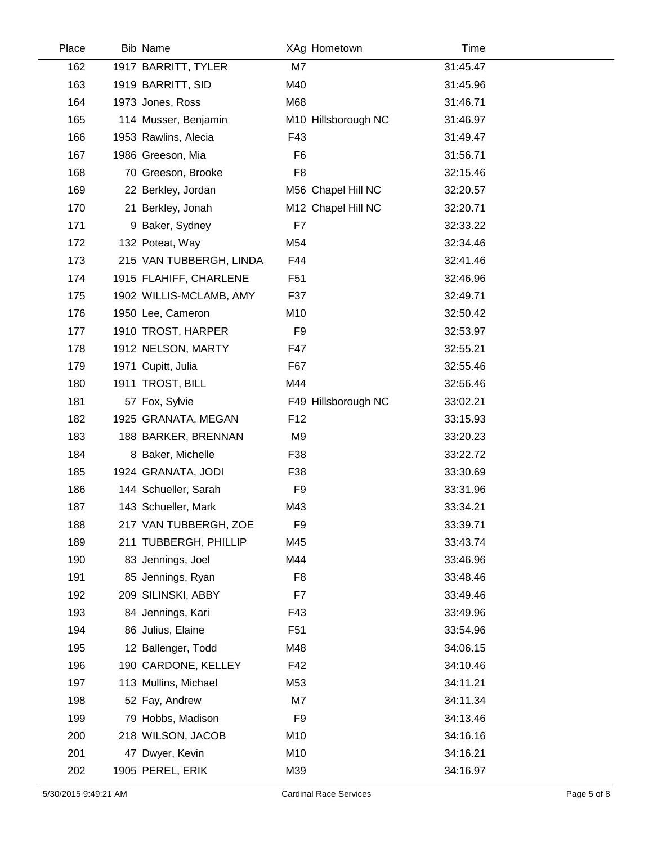| Place | <b>Bib Name</b>         |                 | XAg Hometown        | Time     |  |
|-------|-------------------------|-----------------|---------------------|----------|--|
| 162   | 1917 BARRITT, TYLER     | M7              |                     | 31:45.47 |  |
| 163   | 1919 BARRITT, SID       | M40             |                     | 31:45.96 |  |
| 164   | 1973 Jones, Ross        | M68             |                     | 31:46.71 |  |
| 165   | 114 Musser, Benjamin    |                 | M10 Hillsborough NC | 31:46.97 |  |
| 166   | 1953 Rawlins, Alecia    | F43             |                     | 31:49.47 |  |
| 167   | 1986 Greeson, Mia       | F <sub>6</sub>  |                     | 31:56.71 |  |
| 168   | 70 Greeson, Brooke      | F <sub>8</sub>  |                     | 32:15.46 |  |
| 169   | 22 Berkley, Jordan      |                 | M56 Chapel Hill NC  | 32:20.57 |  |
| 170   | 21 Berkley, Jonah       |                 | M12 Chapel Hill NC  | 32:20.71 |  |
| 171   | 9 Baker, Sydney         | F7              |                     | 32:33.22 |  |
| 172   | 132 Poteat, Way         | M54             |                     | 32:34.46 |  |
| 173   | 215 VAN TUBBERGH, LINDA | F44             |                     | 32:41.46 |  |
| 174   | 1915 FLAHIFF, CHARLENE  | F <sub>51</sub> |                     | 32:46.96 |  |
| 175   | 1902 WILLIS-MCLAMB, AMY | F37             |                     | 32:49.71 |  |
| 176   | 1950 Lee, Cameron       | M10             |                     | 32:50.42 |  |
| 177   | 1910 TROST, HARPER      | F <sub>9</sub>  |                     | 32:53.97 |  |
| 178   | 1912 NELSON, MARTY      | F47             |                     | 32:55.21 |  |
| 179   | 1971 Cupitt, Julia      | F67             |                     | 32:55.46 |  |
| 180   | 1911 TROST, BILL        | M44             |                     | 32:56.46 |  |
| 181   | 57 Fox, Sylvie          |                 | F49 Hillsborough NC | 33:02.21 |  |
| 182   | 1925 GRANATA, MEGAN     | F <sub>12</sub> |                     | 33:15.93 |  |
| 183   | 188 BARKER, BRENNAN     | M <sub>9</sub>  |                     | 33:20.23 |  |
| 184   | 8 Baker, Michelle       | F38             |                     | 33:22.72 |  |
| 185   | 1924 GRANATA, JODI      | F38             |                     | 33:30.69 |  |
| 186   | 144 Schueller, Sarah    | F <sub>9</sub>  |                     | 33:31.96 |  |
| 187   | 143 Schueller, Mark     | M43             |                     | 33:34.21 |  |
| 188   | 217 VAN TUBBERGH, ZOE   | F <sub>9</sub>  |                     | 33:39.71 |  |
| 189   | 211 TUBBERGH, PHILLIP   | M45             |                     | 33:43.74 |  |
| 190   | 83 Jennings, Joel       | M44             |                     | 33:46.96 |  |
| 191   | 85 Jennings, Ryan       | F <sub>8</sub>  |                     | 33:48.46 |  |
| 192   | 209 SILINSKI, ABBY      | F7              |                     | 33:49.46 |  |
| 193   | 84 Jennings, Kari       | F43             |                     | 33:49.96 |  |
| 194   | 86 Julius, Elaine       | F <sub>51</sub> |                     | 33:54.96 |  |
| 195   | 12 Ballenger, Todd      | M48             |                     | 34:06.15 |  |
| 196   | 190 CARDONE, KELLEY     | F42             |                     | 34:10.46 |  |
| 197   | 113 Mullins, Michael    | M53             |                     | 34:11.21 |  |
| 198   | 52 Fay, Andrew          | M7              |                     | 34:11.34 |  |
| 199   | 79 Hobbs, Madison       | F <sub>9</sub>  |                     | 34:13.46 |  |
| 200   | 218 WILSON, JACOB       | M10             |                     | 34:16.16 |  |
| 201   | 47 Dwyer, Kevin         | M10             |                     | 34:16.21 |  |
| 202   | 1905 PEREL, ERIK        | M39             |                     | 34:16.97 |  |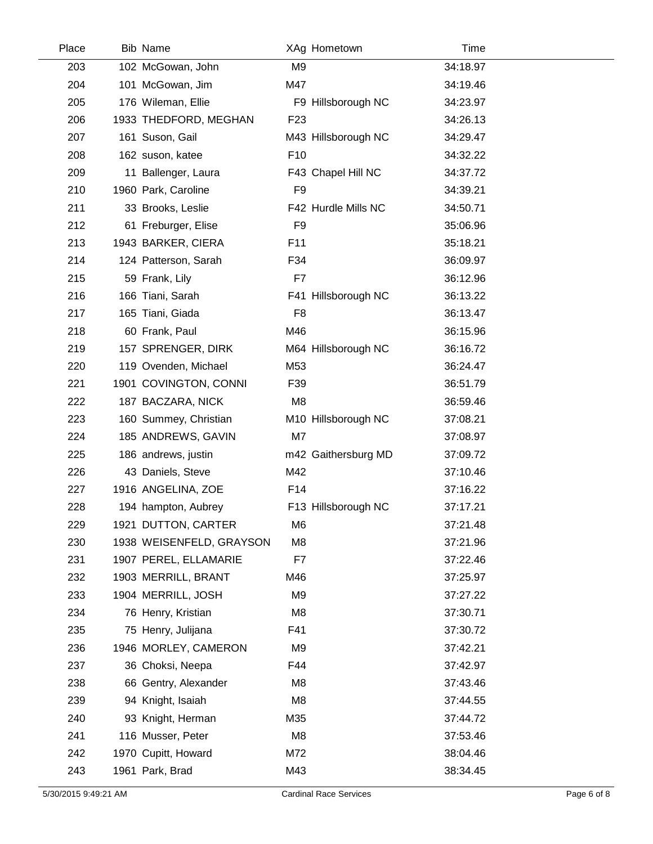| Place | <b>Bib Name</b>          |                 | XAg Hometown        | Time     |  |
|-------|--------------------------|-----------------|---------------------|----------|--|
| 203   | 102 McGowan, John        | M <sub>9</sub>  |                     | 34:18.97 |  |
| 204   | 101 McGowan, Jim         | M47             |                     | 34:19.46 |  |
| 205   | 176 Wileman, Ellie       |                 | F9 Hillsborough NC  | 34:23.97 |  |
| 206   | 1933 THEDFORD, MEGHAN    | F <sub>23</sub> |                     | 34:26.13 |  |
| 207   | 161 Suson, Gail          |                 | M43 Hillsborough NC | 34:29.47 |  |
| 208   | 162 suson, katee         | F <sub>10</sub> |                     | 34:32.22 |  |
| 209   | 11 Ballenger, Laura      |                 | F43 Chapel Hill NC  | 34:37.72 |  |
| 210   | 1960 Park, Caroline      | F <sub>9</sub>  |                     | 34:39.21 |  |
| 211   | 33 Brooks, Leslie        |                 | F42 Hurdle Mills NC | 34:50.71 |  |
| 212   | 61 Freburger, Elise      | F <sub>9</sub>  |                     | 35:06.96 |  |
| 213   | 1943 BARKER, CIERA       | F11             |                     | 35:18.21 |  |
| 214   | 124 Patterson, Sarah     | F34             |                     | 36:09.97 |  |
| 215   | 59 Frank, Lily           | F7              |                     | 36:12.96 |  |
| 216   | 166 Tiani, Sarah         |                 | F41 Hillsborough NC | 36:13.22 |  |
| 217   | 165 Tiani, Giada         | F <sub>8</sub>  |                     | 36:13.47 |  |
| 218   | 60 Frank, Paul           | M46             |                     | 36:15.96 |  |
| 219   | 157 SPRENGER, DIRK       |                 | M64 Hillsborough NC | 36:16.72 |  |
| 220   | 119 Ovenden, Michael     | M53             |                     | 36:24.47 |  |
| 221   | 1901 COVINGTON, CONNI    | F39             |                     | 36:51.79 |  |
| 222   | 187 BACZARA, NICK        | M <sub>8</sub>  |                     | 36:59.46 |  |
| 223   | 160 Summey, Christian    |                 | M10 Hillsborough NC | 37:08.21 |  |
| 224   | 185 ANDREWS, GAVIN       | M7              |                     | 37:08.97 |  |
| 225   | 186 andrews, justin      |                 | m42 Gaithersburg MD | 37:09.72 |  |
| 226   | 43 Daniels, Steve        | M42             |                     | 37:10.46 |  |
| 227   | 1916 ANGELINA, ZOE       | F14             |                     | 37:16.22 |  |
| 228   | 194 hampton, Aubrey      |                 | F13 Hillsborough NC | 37:17.21 |  |
| 229   | 1921 DUTTON, CARTER      | M <sub>6</sub>  |                     | 37:21.48 |  |
| 230   | 1938 WEISENFELD, GRAYSON | M <sub>8</sub>  |                     | 37:21.96 |  |
| 231   | 1907 PEREL, ELLAMARIE    | F7              |                     | 37:22.46 |  |
| 232   | 1903 MERRILL, BRANT      | M46             |                     | 37:25.97 |  |
| 233   | 1904 MERRILL, JOSH       | M9              |                     | 37:27.22 |  |
| 234   | 76 Henry, Kristian       | M <sub>8</sub>  |                     | 37:30.71 |  |
| 235   | 75 Henry, Julijana       | F41             |                     | 37:30.72 |  |
| 236   | 1946 MORLEY, CAMERON     | M9              |                     | 37:42.21 |  |
| 237   | 36 Choksi, Neepa         | F44             |                     | 37:42.97 |  |
| 238   | 66 Gentry, Alexander     | M8              |                     | 37:43.46 |  |
| 239   | 94 Knight, Isaiah        | M <sub>8</sub>  |                     | 37:44.55 |  |
| 240   | 93 Knight, Herman        | M35             |                     | 37:44.72 |  |
| 241   | 116 Musser, Peter        | M <sub>8</sub>  |                     | 37:53.46 |  |
| 242   | 1970 Cupitt, Howard      | M72             |                     | 38:04.46 |  |
| 243   | 1961 Park, Brad          | M43             |                     | 38:34.45 |  |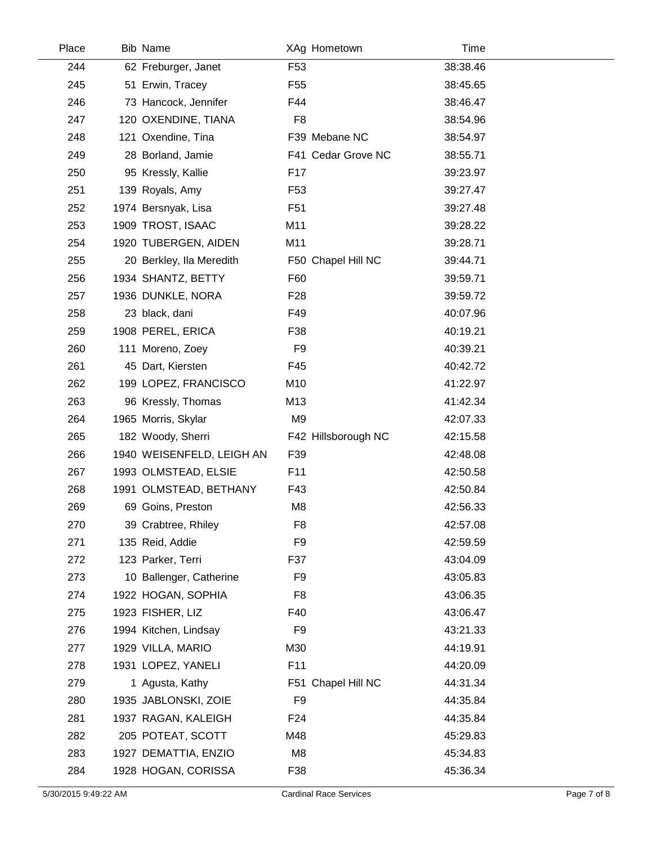| Place | <b>Bib Name</b>           |                 | XAg Hometown        | Time     |  |
|-------|---------------------------|-----------------|---------------------|----------|--|
| 244   | 62 Freburger, Janet       | F <sub>53</sub> |                     | 38:38.46 |  |
| 245   | 51 Erwin, Tracey          | F <sub>55</sub> |                     | 38:45.65 |  |
| 246   | 73 Hancock, Jennifer      | F44             |                     | 38:46.47 |  |
| 247   | 120 OXENDINE, TIANA       | F <sub>8</sub>  |                     | 38:54.96 |  |
| 248   | 121 Oxendine, Tina        |                 | F39 Mebane NC       | 38:54.97 |  |
| 249   | 28 Borland, Jamie         |                 | F41 Cedar Grove NC  | 38:55.71 |  |
| 250   | 95 Kressly, Kallie        | F <sub>17</sub> |                     | 39:23.97 |  |
| 251   | 139 Royals, Amy           | F <sub>53</sub> |                     | 39:27.47 |  |
| 252   | 1974 Bersnyak, Lisa       | F <sub>51</sub> |                     | 39:27.48 |  |
| 253   | 1909 TROST, ISAAC         | M11             |                     | 39:28.22 |  |
| 254   | 1920 TUBERGEN, AIDEN      | M11             |                     | 39:28.71 |  |
| 255   | 20 Berkley, Ila Meredith  |                 | F50 Chapel Hill NC  | 39:44.71 |  |
| 256   | 1934 SHANTZ, BETTY        | F60             |                     | 39:59.71 |  |
| 257   | 1936 DUNKLE, NORA         | F <sub>28</sub> |                     | 39:59.72 |  |
| 258   | 23 black, dani            | F49             |                     | 40:07.96 |  |
| 259   | 1908 PEREL, ERICA         | F38             |                     | 40:19.21 |  |
| 260   | 111 Moreno, Zoey          | F <sub>9</sub>  |                     | 40:39.21 |  |
| 261   | 45 Dart, Kiersten         | F45             |                     | 40:42.72 |  |
| 262   | 199 LOPEZ, FRANCISCO      | M10             |                     | 41:22.97 |  |
| 263   | 96 Kressly, Thomas        | M13             |                     | 41:42.34 |  |
| 264   | 1965 Morris, Skylar       | M <sub>9</sub>  |                     | 42:07.33 |  |
| 265   | 182 Woody, Sherri         |                 | F42 Hillsborough NC | 42:15.58 |  |
| 266   | 1940 WEISENFELD, LEIGH AN | F39             |                     | 42:48.08 |  |
| 267   | 1993 OLMSTEAD, ELSIE      | F11             |                     | 42:50.58 |  |
| 268   | 1991 OLMSTEAD, BETHANY    | F43             |                     | 42:50.84 |  |
| 269   | 69 Goins, Preston         | M <sub>8</sub>  |                     | 42:56.33 |  |
| 270   | 39 Crabtree, Rhiley       | F <sub>8</sub>  |                     | 42:57.08 |  |
| 271   | 135 Reid, Addie           | F <sub>9</sub>  |                     | 42:59.59 |  |
| 272   | 123 Parker, Terri         | F37             |                     | 43:04.09 |  |
| 273   | 10 Ballenger, Catherine   | F <sub>9</sub>  |                     | 43:05.83 |  |
| 274   | 1922 HOGAN, SOPHIA        | F <sub>8</sub>  |                     | 43:06.35 |  |
| 275   | 1923 FISHER, LIZ          | F40             |                     | 43:06.47 |  |
| 276   | 1994 Kitchen, Lindsay     | F <sub>9</sub>  |                     | 43:21.33 |  |
| 277   | 1929 VILLA, MARIO         | M30             |                     | 44:19.91 |  |
| 278   | 1931 LOPEZ, YANELI        | F11             |                     | 44:20.09 |  |
| 279   | 1 Agusta, Kathy           |                 | F51 Chapel Hill NC  | 44:31.34 |  |
| 280   | 1935 JABLONSKI, ZOIE      | F <sub>9</sub>  |                     | 44:35.84 |  |
| 281   | 1937 RAGAN, KALEIGH       | F <sub>24</sub> |                     | 44:35.84 |  |
| 282   | 205 POTEAT, SCOTT         | M48             |                     | 45:29.83 |  |
| 283   | 1927 DEMATTIA, ENZIO      | M8              |                     | 45:34.83 |  |
| 284   | 1928 HOGAN, CORISSA       | F38             |                     | 45:36.34 |  |